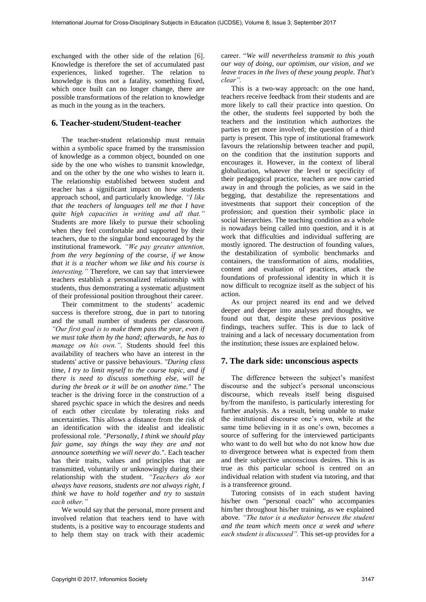exchanged with the other side of the relation  $[6]$ . Knowledge is therefore the set of accumulated past experiences, linked together. The relation to knowledge is thus not a fatality, something fixed, which once built can no longer change, there are possible transformations of the relation to knowledge as much in the young as in the teachers.

## **6. Teacher-student/Student-teacher**

The teacher-student relationship must remain within a symbolic space framed by the transmission of knowledge as a common object, bounded on one side by the one who wishes to transmit knowledge, and on the other by the one who wishes to learn it. The relationship established between student and teacher has a significant impact on how students approach school, and particularly knowledge. *"I like that the teachers of languages tell me that I have quite high capacities in writing and all that."* Students are more likely to pursue their schooling when they feel comfortable and supported by their teachers, due to the singular bond encouraged by the institutional framework. *"We pay greater attention, from the very beginning of the course, if we know that it is a teacher whom we like and his course is interesting."* Therefore, we can say that interviewee teachers establish a personalized relationship with students, thus demonstrating a systematic adjustment of their professional position throughout their career.

Their commitment to the students' academic success is therefore strong, due in part to tutoring and the small number of students per classroom. *"Our first goal is to make them pass the year, even if we must take them by the hand; afterwards, he has to manage on his own.".* Students should feel this availability of teachers who have an interest in the students' active or passive behaviours. *"During class time, I try to limit myself to the course topic, and if there is need to discuss something else, will be during the break or it will be on another time."* The teacher is the driving force in the construction of a shared psychic space in which the desires and needs of each other circulate by tolerating risks and uncertainties. This allows a distance from the risk of an identification with the idealist and idealistic professional role. *"Personally, I think we should play fair game, say things the way they are and not announce something we will never do.".* Each teacher has their traits, values and principles that are transmitted, voluntarily or unknowingly during their relationship with the student. *"Teachers do not always have reasons, students are not always right, I think we have to hold together and try to sustain each other."*

We would say that the personal, more present and involved relation that teachers tend to have with students, is a positive way to encourage students and to help them stay on track with their academic

career. "*We will nevertheless transmit to this youth our way of doing, our optimism, our vision, and we leave traces in the lives of these young people. That's clear".*

This is a two-way approach: on the one hand, teachers receive feedback from their students and are more likely to call their practice into question. On the other, the students feel supported by both the teachers and the institution which authorizes the parties to get more involved; the question of a third party is present. This type of institutional framework favours the relationship between teacher and pupil, on the condition that the institution supports and encourages it. However, in the context of liberal globalization, whatever the level or specificity of their pedagogical practice, teachers are now carried away in and through the policies, as we said in the begging, that destabilize the representations and investments that support their conception of the profession; and question their symbolic place in social hierarchies. The teaching condition as a whole is nowadays being called into question, and it is at work that difficulties and individual suffering are mostly ignored. The destruction of founding values, the destabilization of symbolic benchmarks and containers, the transformation of aims, modalities, content and evaluation of practices, attack the foundations of professional identity in which it is now difficult to recognize itself as the subject of his action.

As our project neared its end and we delved deeper and deeper into analyses and thoughts, we found out that, despite these previous positive findings, teachers suffer. This is due to lack of training and a lack of necessary documentation from the institution; these issues are explained below.

# **7. The dark side: unconscious aspects**

The difference between the subject's manifest discourse and the subject's personal unconscious discourse, which reveals itself being disguised by/from the manifesto, is particularly interesting for further analysis. As a result, being unable to make the institutional discourse one's own, while at the same time believing in it as one's own, becomes a source of suffering for the interviewed participants who want to do well but who do not know how due to divergence between what is expected from them and their subjective unconscious desires. This is as true as this particular school is centred on an individual relation with student via tutoring, and that is a transference ground.

Tutoring consists of in each student having his/her own "personal coach" who accompanies him/her throughout his/her training, as we explained above. *"The tutor is a mediator between the student and the team which meets once a week and where each student is discussed".* This set-up provides for a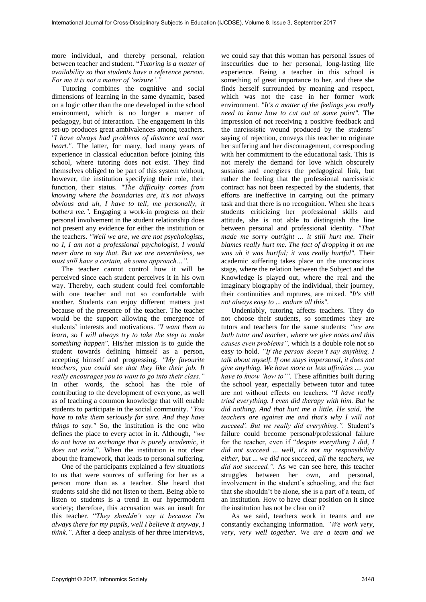more individual, and thereby personal, relation between teacher and student. "*Tutoring is a matter of availability so that students have a reference person. For me it is not a matter of 'seizure'."*

Tutoring combines the cognitive and social dimensions of learning in the same dynamic, based on a logic other than the one developed in the school environment, which is no longer a matter of pedagogy, but of interaction. The engagement in this set-up produces great ambivalences among teachers. *"I have always had problems of distance and near heart.".* The latter, for many, had many years of experience in classical education before joining this school, where tutoring does not exist. They find themselves obliged to be part of this system without, however, the institution specifying their role, their function, their status. *"The difficulty comes from knowing where the boundaries are, it's not always obvious and uh, I have to tell, me personally, it bothers me.".* Engaging a work-in progress on their personal involvement in the student relationship does not present any evidence for either the institution or the teachers. *"Well we are, we are not psychologists, no I, I am not a professional psychologist, I would never dare to say that. But we are nevertheless, we must still have a certain, ah some approach…".*

The teacher cannot control how it will be perceived since each student perceives it in his own way. Thereby, each student could feel comfortable with one teacher and not so comfortable with another. Students can enjoy different matters just because of the presence of the teacher. The teacher would be the support allowing the emergence of students' interests and motivations. *"I want them to learn, so I will always try to take the step to make something happen".* His/her mission is to guide the student towards defining himself as a person, accepting himself and progressing. *"My favourite teachers, you could see that they like their job. It really encourages you to want to go into their class."* In other words, the school has the role of contributing to the development of everyone, as well as of teaching a common knowledge that will enable students to participate in the social community. *"You have to take them seriously for sure. And they have things to say."* So, the institution is the one who defines the place to every actor in it. Although, *"we do not have an exchange that is purely academic, it does not exist*.". When the institution is not clear about the framework, that leads to personal suffering.

One of the participants explained a few situations to us that were sources of suffering for her as a person more than as a teacher. She heard that students said she did not listen to them. Being able to listen to students is a trend in our hypermodern society; therefore, this accusation was an insult for this teacher. "*They shouldn't say it because I'm always there for my pupils, well I believe it anyway, I think."*. After a deep analysis of her three interviews,

we could say that this woman has personal issues of insecurities due to her personal, long-lasting life experience. Being a teacher in this school is something of great importance to her, and there she finds herself surrounded by meaning and respect, which was not the case in her former work environment. *"It's a matter of the feelings you really need to know how to cut out at some point".* The impression of not receiving a positive feedback and the narcissistic wound produced by the students' saying of rejection, conveys this teacher to originate her suffering and her discouragement, corresponding with her commitment to the educational task. This is not merely the demand for love which obscurely sustains and energizes the pedagogical link, but rather the feeling that the professional narcissistic contract has not been respected by the students, that efforts are ineffective in carrying out the primary task and that there is no recognition. When she hears students criticizing her professional skills and attitude, she is not able to distinguish the line between personal and professional identity. *"That made me sorry outright ... it still hurt me. Their blames really hurt me. The fact of dropping it on me was uh it was hurtful; it was really hurtful".* Their academic suffering takes place on the unconscious stage, where the relation between the Subject and the Knowledge is played out, where the real and the imaginary biography of the individual, their journey, their continuities and ruptures, are mixed. *"It's still not always easy to ... endure all this".* 

Undeniably, tutoring affects teachers. They do not choose their students, so sometimes they are tutors and teachers for the same students: *"we are both tutor and teacher, where we give notes and this causes even problems",* which is a double role not so easy to hold. *"If the person doesn't say anything, I talk about myself. If one stays impersonal, it does not give anything. We have more or less affinities .... you have to know 'how to'".* These affinities built during the school year, especially between tutor and tutee are not without effects on teachers. "*I have really tried everything. I even did therapy with him. But he did nothing. And that hurt me a little. He said, 'the teachers are against me and that's why I will not succeed'. But we really did everything.".* Student's failure could become personal/professional failure for the teacher, even if "*despite everything I did, I did not succeed ... well, it's not my responsibility either, but ... we did not succeed, all the teachers, we did not succeed.".* As we can see here, this teacher struggles between her own, and personal, involvement in the student's schooling, and the fact that she shouldn't be alone, she is a part of a team, of an institution. How to have clear position on it since the institution has not be clear on it?

As we said, teachers work in teams and are constantly exchanging information. *"We work very, very, very well together. We are a team and we*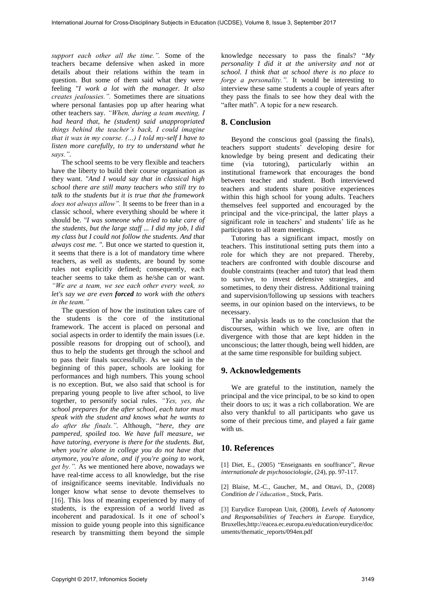*support each other all the time.".* Some of the teachers became defensive when asked in more details about their relations within the team in question. But some of them said what they were feeling *"I work a lot with the manager. It also creates jealousies.".* Sometimes there are situations where personal fantasies pop up after hearing what other teachers say. *"When, during a team meeting, I had heard that, he (student) said unappropriated things behind the teacher's back, I could imagine that it was in my course. (…) I told my-self I have to listen more carefully, to try to understand what he says.".* 

The school seems to be very flexible and teachers have the liberty to build their course organisation as they want. *"And I would say that in classical high school there are still many teachers who still try to talk to the students but it is true that the framework does not always allow".* It seems to be freer than in a classic school, where everything should be where it should be. *"I was someone who tried to take care of the students, but the large staff ... I did my job, I did my class but I could not follow the students. And that always cost me. ".* But once we started to question it, it seems that there is a lot of mandatory time where teachers, as well as students, are bound by some rules not explicitly defined; consequently, each teacher seems to take them as he/she can or want. *"We are a team, we see each other every week, so let's say we are even forced to work with the others in the team."*

The question of how the institution takes care of the students is the core of the institutional framework. The accent is placed on personal and social aspects in order to identify the main issues (i.e. possible reasons for dropping out of school), and thus to help the students get through the school and to pass their finals successfully. As we said in the beginning of this paper, schools are looking for performances and high numbers. This young school is no exception. But, we also said that school is for preparing young people to live after school, to live together, to personify social rules. *"Yes, yes, the school prepares for the after school, each tutor must speak with the student and knows what he wants to do after the finals.".* Although, "*here, they are pampered, spoiled too. We have full measure, we have tutoring, everyone is there for the students. But, when you're alone in college you do not have that anymore, you're alone, and if you're going to work, get by.".* As we mentioned here above, nowadays we have real-time access to all knowledge, but the rise of insignificance seems inevitable. Individuals no longer know what sense to devote themselves to [16]. This loss of meaning experienced by many of students, is the expression of a world lived as incoherent and paradoxical. Is it one of school's mission to guide young people into this significance research by transmitting them beyond the simple

knowledge necessary to pass the finals? "*My personality I did it at the university and not at school. I think that at school there is no place to forge a personality.".* It would be interesting to interview these same students a couple of years after they pass the finals to see how they deal with the "after math". A topic for a new research.

## **8. Conclusion**

Beyond the conscious goal (passing the finals), teachers support students' developing desire for knowledge by being present and dedicating their time (via tutoring), particularly within an institutional framework that encourages the bond between teacher and student. Both interviewed teachers and students share positive experiences within this high school for young adults. Teachers themselves feel supported and encouraged by the principal and the vice-principal, the latter plays a significant role in teachers' and students' life as he participates to all team meetings.

Tutoring has a significant impact, mostly on teachers. This institutional setting puts them into a role for which they are not prepared. Thereby, teachers are confronted with double discourse and double constraints (teacher and tutor) that lead them to survive, to invest defensive strategies, and sometimes, to deny their distress. Additional training and supervision/following up sessions with teachers seems, in our opinion based on the interviews, to be necessary.

The analysis leads us to the conclusion that the discourses, within which we live, are often in divergence with those that are kept hidden in the unconscious; the latter though, being well hidden, are at the same time responsible for building subject.

# **9. Acknowledgements**

We are grateful to the institution, namely the principal and the vice principal, to be so kind to open their doors to us; it was a rich collaboration. We are also very thankful to all participants who gave us some of their precious time, and played a fair game with us.

### **10. References**

[1] Diet, E., (2005) "Enseignants en souffrance", *Revue internationale de psychosociologie*, (24), pp. 97-117.

[2] Blaise, M.-C., Gaucher, M., and Ottavi, D., (2008) *Condition de l'éducation.*, Stock, Paris.

3 Eurydice European Unit, (2008), *Levels of Autonomy and Responsabilities of Teachers in Europe.* Eurydice, Bruxelles,http://eacea.ec.europa.eu/education/eurydice/doc uments/thematic\_reports/094en.pdf